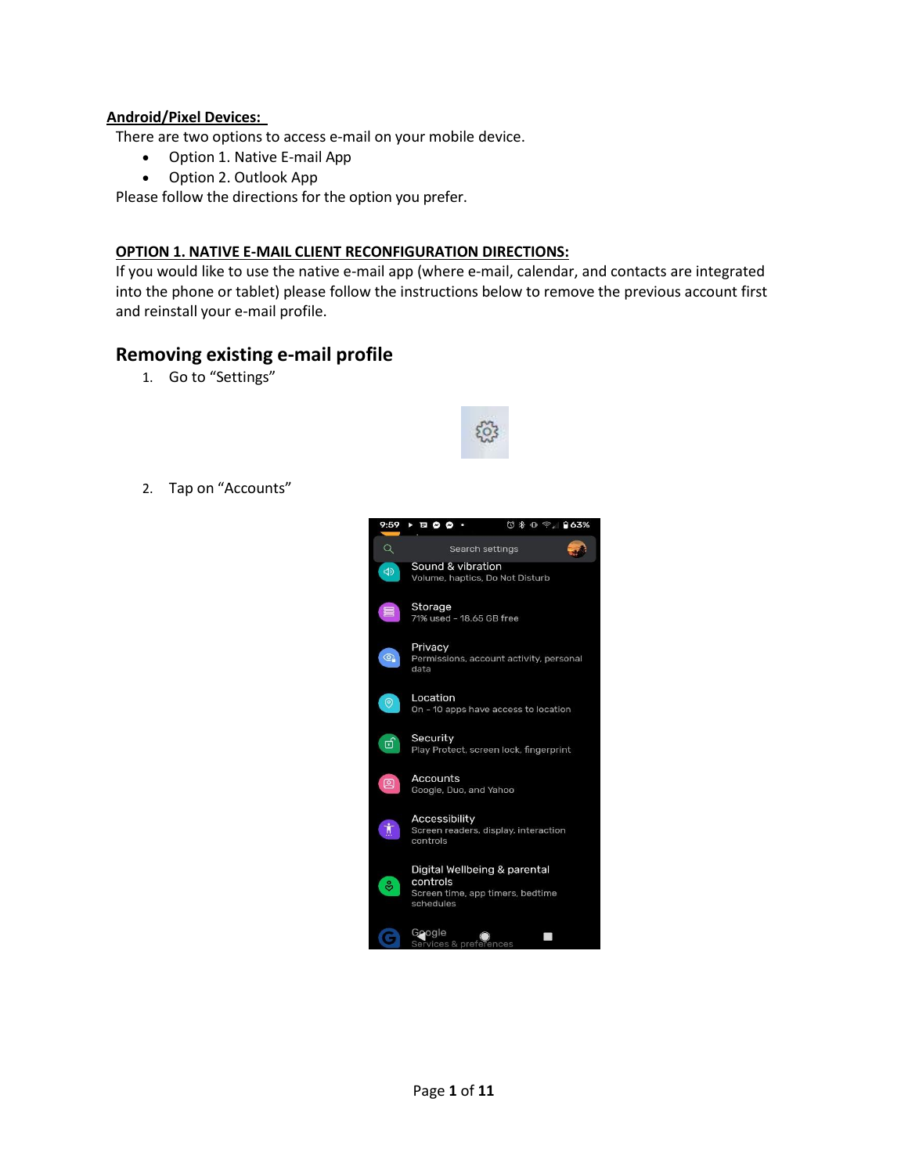#### **Android/Pixel Devices:**

There are two options to access e-mail on your mobile device.

- Option 1. Native E-mail App
- Option 2. Outlook App

Please follow the directions for the option you prefer.

#### **OPTION 1. NATIVE E-MAIL CLIENT RECONFIGURATION DIRECTIONS:**

If you would like to use the native e-mail app (where e-mail, calendar, and contacts are integrated into the phone or tablet) please follow the instructions below to remove the previous account first and reinstall your e-mail profile.

## **Removing existing e-mail profile**

1. Go to "Settings"



2. Tap on "Accounts"

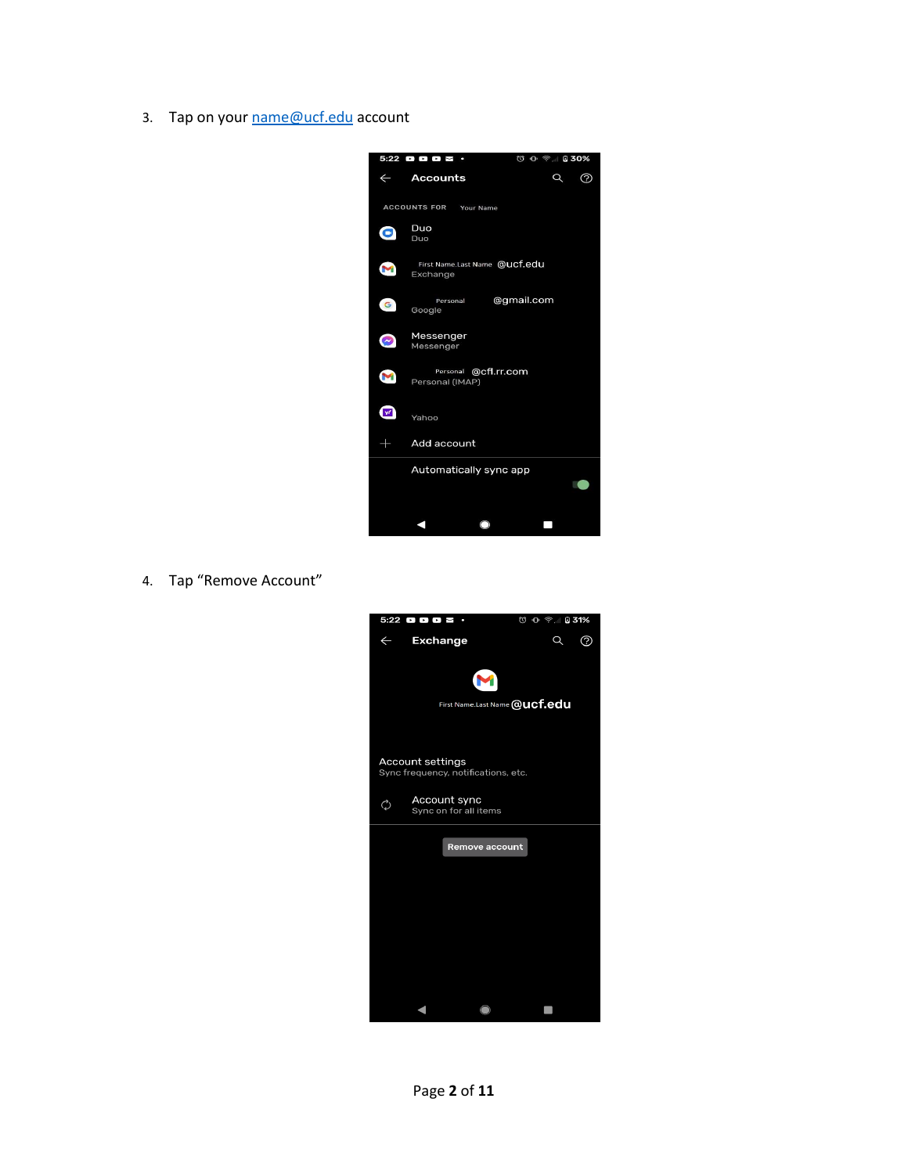3. Tap on your [name@ucf.edu](mailto:name@ucf.edu) account



4. Tap "Remove Account"

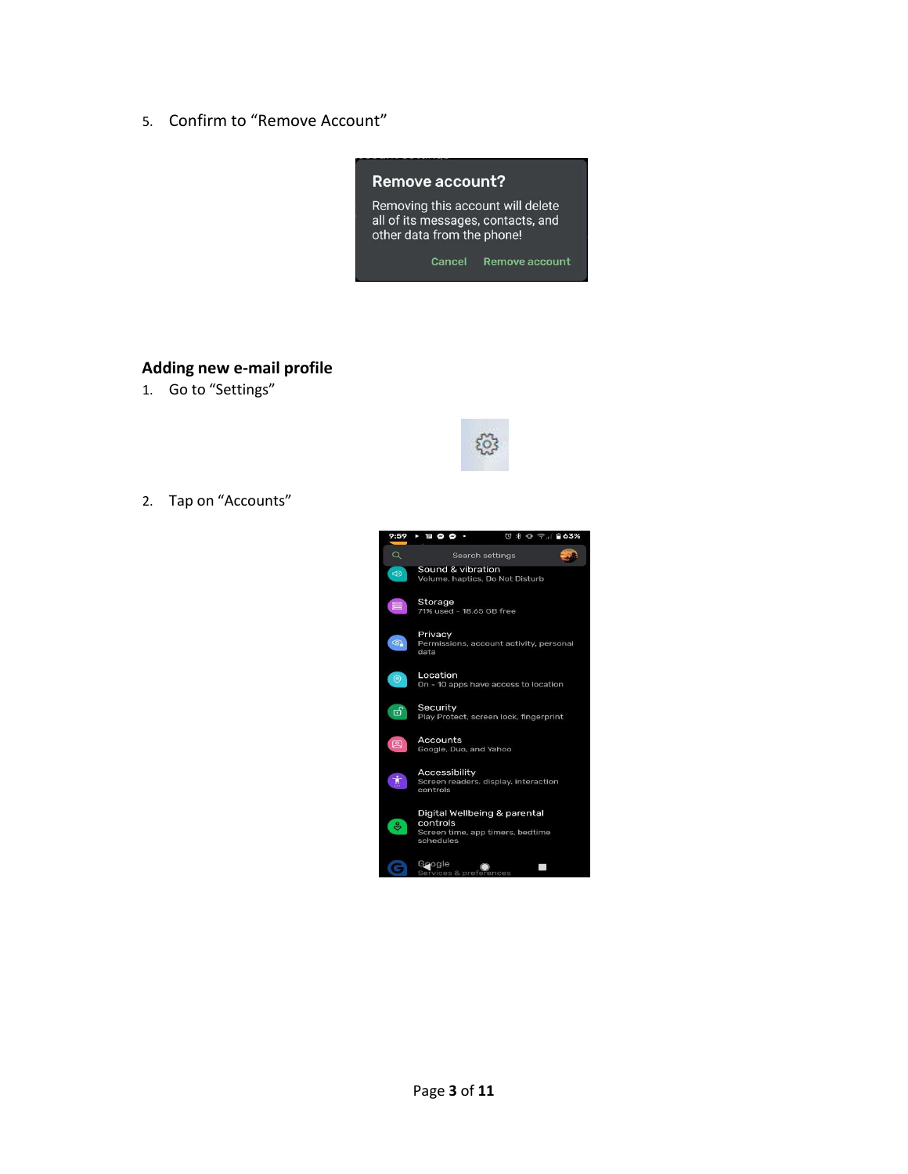5. Confirm to "Remove Account"



#### **Adding new e-mail profile**

1. Go to "Settings"



2. Tap on "Accounts"

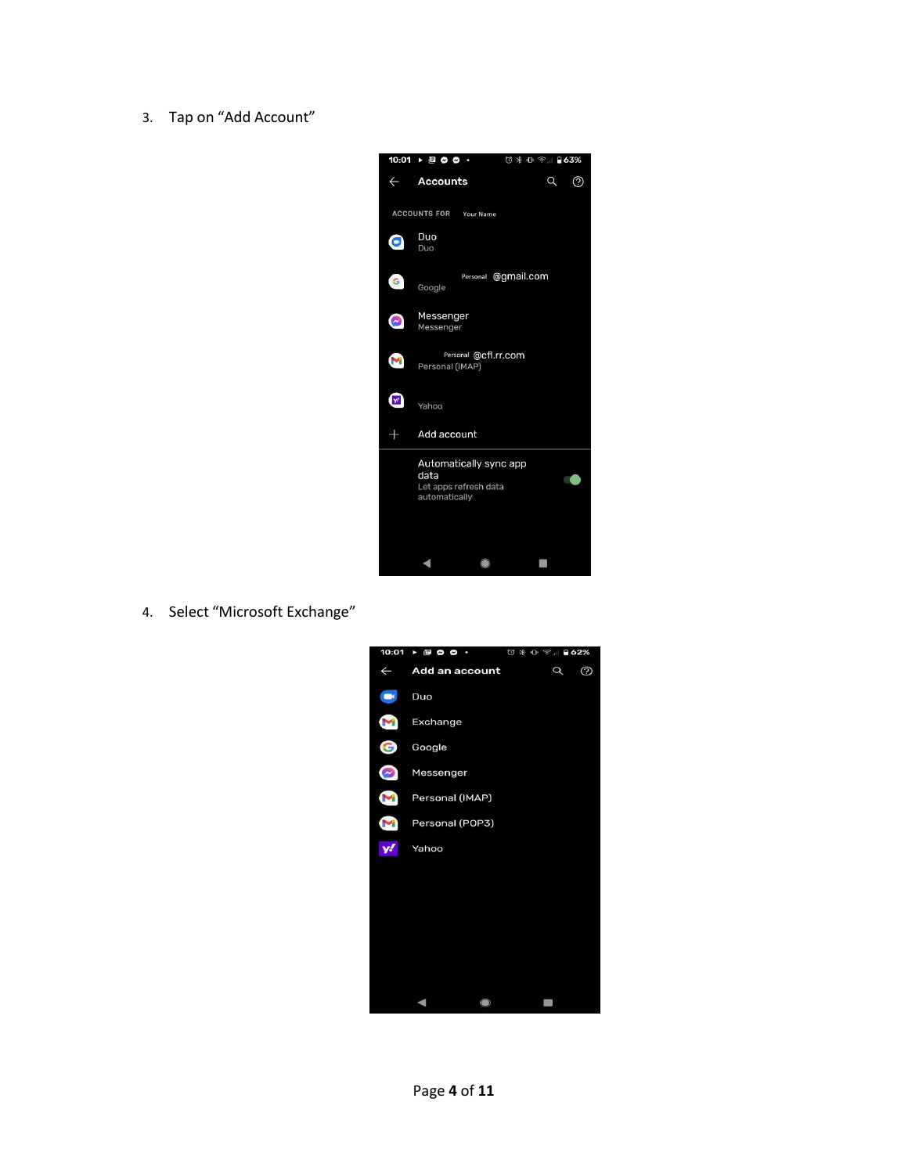3. Tap on "Add Account"



4. Select "Microsoft Exchange"

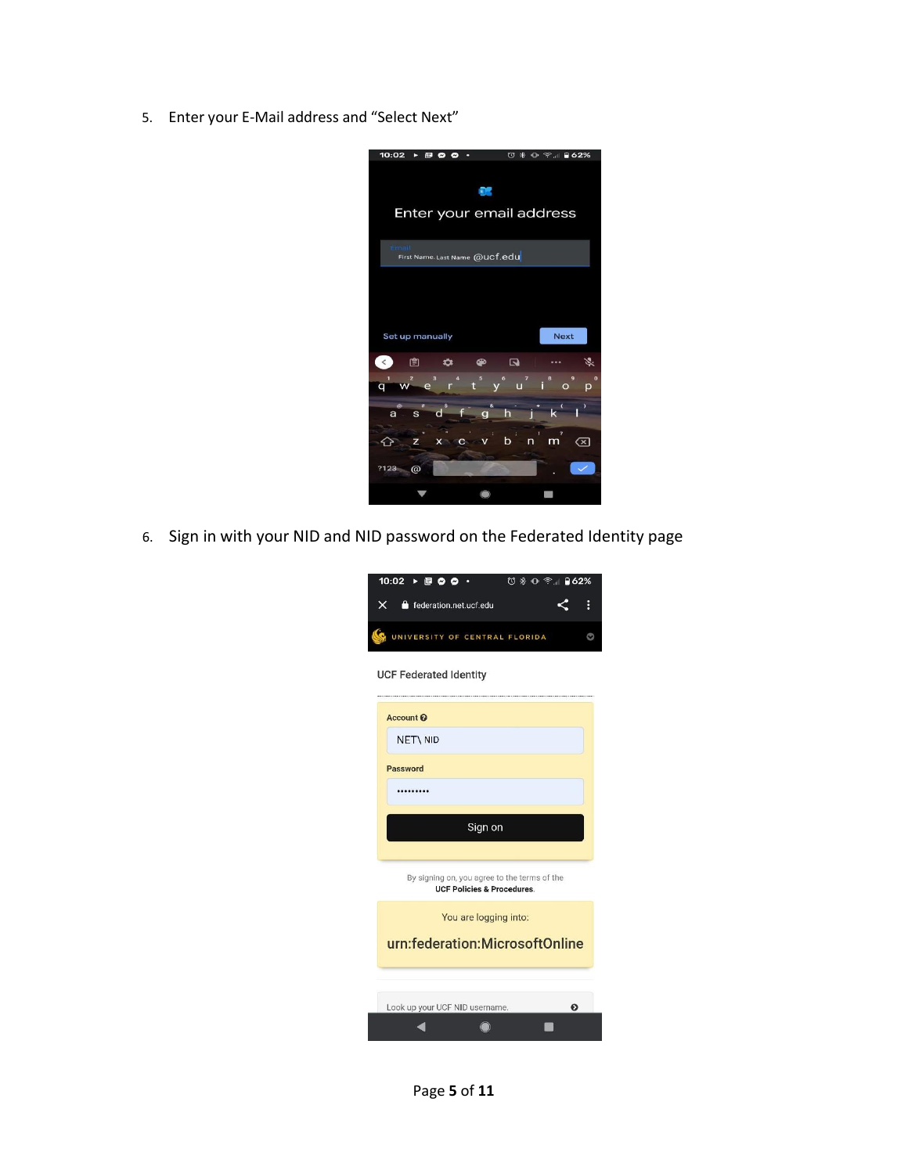5. Enter your E-Mail address and "Select Next"



6. Sign in with your NID and NID password on the Federated Identity page

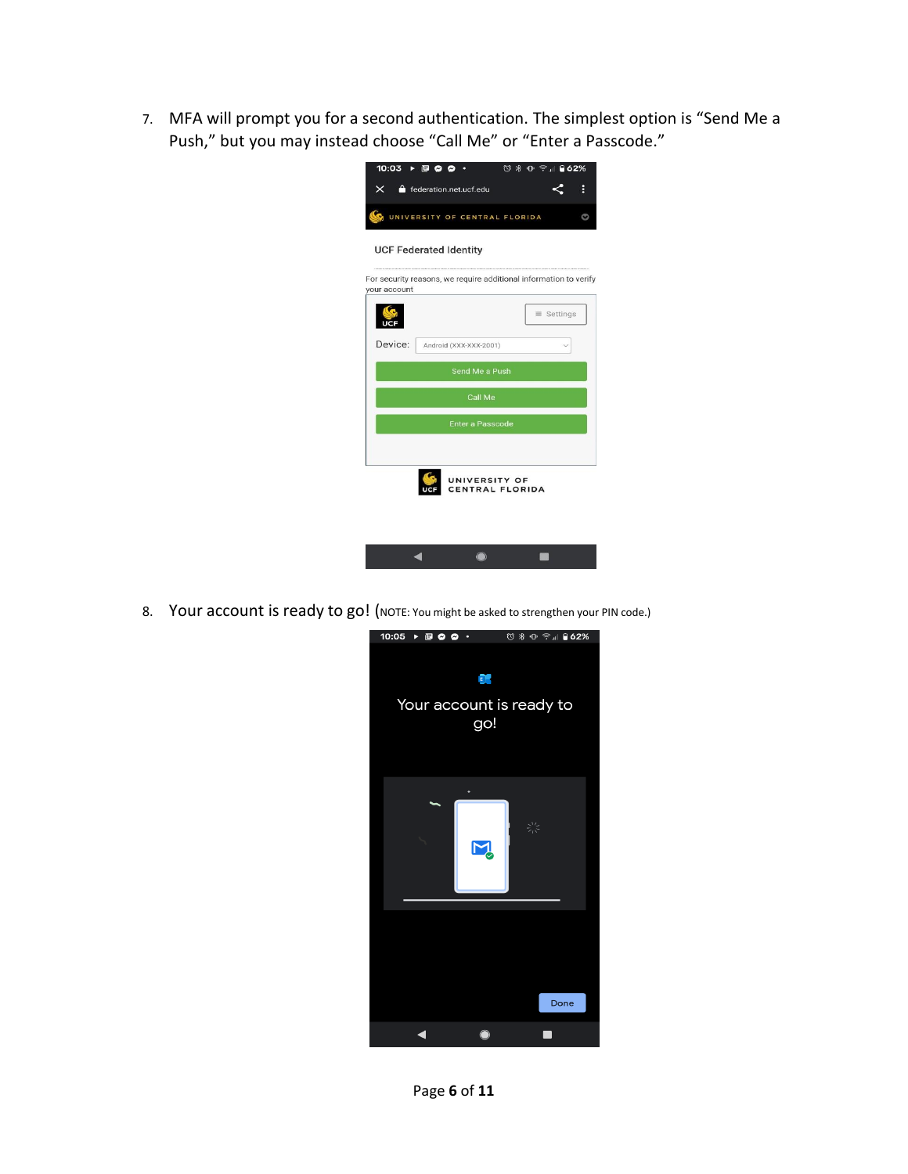7. MFA will prompt you for a second authentication. The simplest option is "Send Me a Push," but you may instead choose "Call Me" or "Enter a Passcode."

| 10:03                            | $\triangleright$ $\Box$ $\odot$ $\odot$                           |  | <b>₩ 0 ÷ 82%</b>  |   |  |  |  |
|----------------------------------|-------------------------------------------------------------------|--|-------------------|---|--|--|--|
| $\times$                         | federation.net.ucf.edu                                            |  |                   | Ė |  |  |  |
|                                  | UNIVERSITY OF CENTRAL FLORIDA                                     |  |                   |   |  |  |  |
| <b>UCF Federated Identity</b>    |                                                                   |  |                   |   |  |  |  |
| your account                     | For security reasons, we require additional information to verify |  |                   |   |  |  |  |
|                                  |                                                                   |  | $\equiv$ Settings |   |  |  |  |
| Device:                          | Android (XXX-XXX-2001)                                            |  |                   |   |  |  |  |
| Send Me a Push                   |                                                                   |  |                   |   |  |  |  |
| Call Me                          |                                                                   |  |                   |   |  |  |  |
| <b>Enter a Passcode</b>          |                                                                   |  |                   |   |  |  |  |
|                                  |                                                                   |  |                   |   |  |  |  |
| UNIVERSITY OF<br>CENTRAL FLORIDA |                                                                   |  |                   |   |  |  |  |
|                                  |                                                                   |  |                   |   |  |  |  |

8. Your account is ready to go! (NOTE: You might be asked to strengthen your PIN code.)

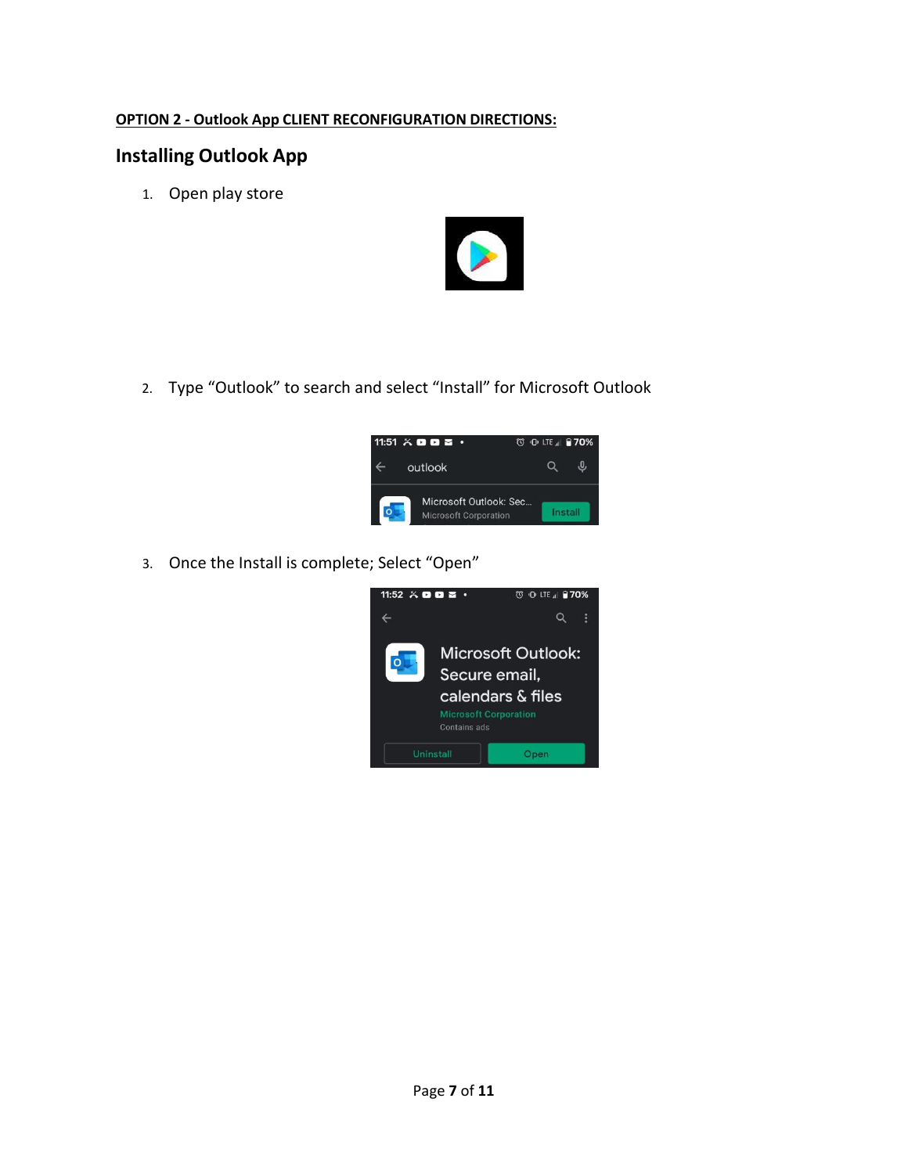### **OPTION 2 - Outlook App CLIENT RECONFIGURATION DIRECTIONS:**

# **Installing Outlook App**

1. Open play store



2. Type "Outlook" to search and select "Install" for Microsoft Outlook



3. Once the Install is complete; Select "Open"

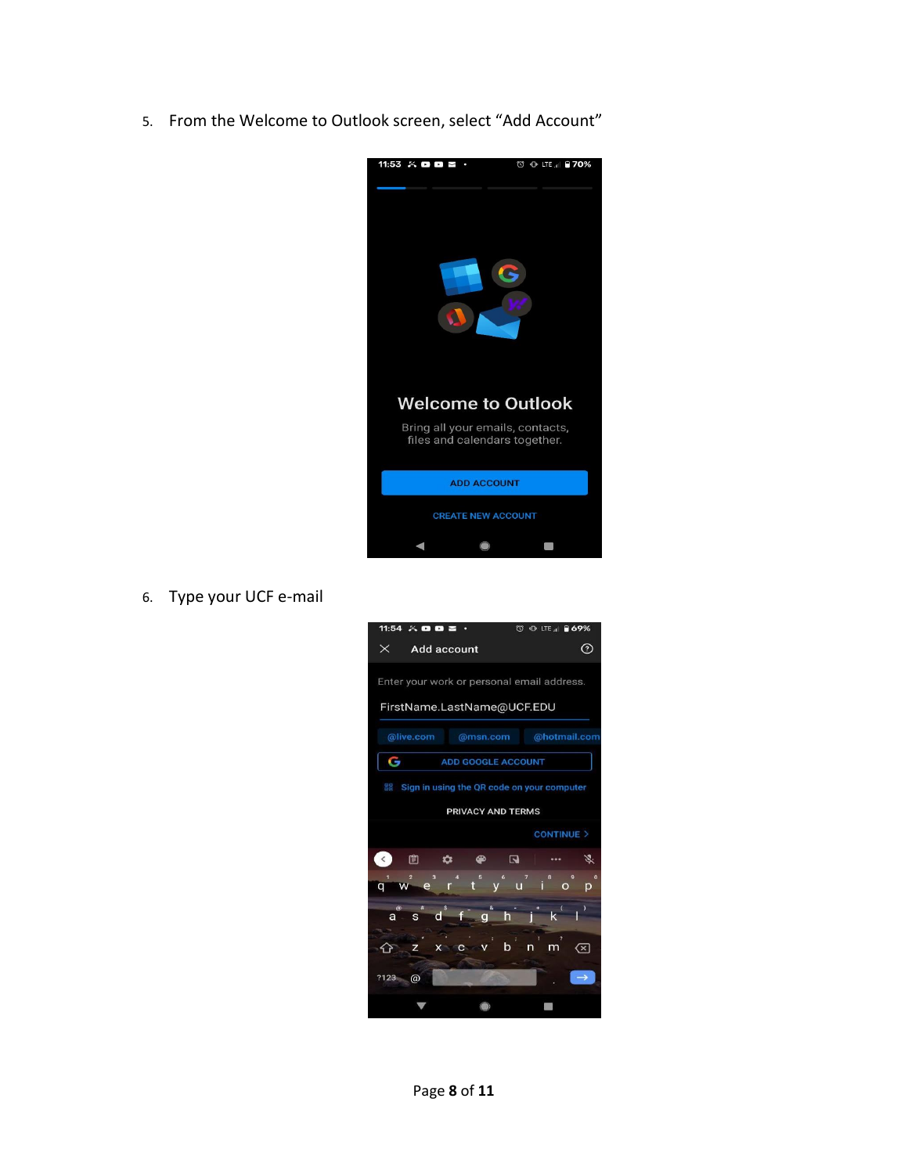5. From the Welcome to Outlook screen, select "Add Account"



6. Type your UCF e-mail

| 11:54 $\times$ 0 0 $\approx$                        |                                             | <b>ID: LTE all ■69%</b><br>$\omega$              |  |  |  |
|-----------------------------------------------------|---------------------------------------------|--------------------------------------------------|--|--|--|
| $\times$<br><b>Add account</b>                      |                                             | $\left( 2\right)$                                |  |  |  |
| Enter your work or personal email address.          |                                             |                                                  |  |  |  |
| FirstName.LastName@UCF.EDU                          |                                             |                                                  |  |  |  |
| @live.com                                           | @msn.com                                    | @hotmail.com                                     |  |  |  |
| G<br><b>ADD GOOGLE ACCOUNT</b>                      |                                             |                                                  |  |  |  |
| 88                                                  |                                             | Sign in using the QR code on your computer       |  |  |  |
|                                                     | <b>PRIVACY AND TERMS</b>                    |                                                  |  |  |  |
|                                                     |                                             | <b>CONTINUE</b> >                                |  |  |  |
| 窅<br>$\leq$<br>$\bullet$                            | $\overline{\mathbf{a}}$<br>$\bullet$        | Z.                                               |  |  |  |
| $\overline{\mathbf{3}}$<br>$\overline{2}$<br>q<br>e | a<br>$-5$<br>$\ddot{\phantom{1}}$ 6<br>rtyu | $\overline{7}$<br>8<br>$\bf{0}$<br>$\circ$<br>p. |  |  |  |
| $\circledcirc$<br>Ś<br>d<br>$\mathbf{s}$<br>a       | $\mathbf{z}$<br>f<br>h<br>$\mathbf q$       | k                                                |  |  |  |
| z                                                   | ì<br>b<br>$X \subset C$ $V$                 | $\overline{?}$<br>(× 1<br>n<br>m                 |  |  |  |
| ?123<br>@                                           |                                             |                                                  |  |  |  |
|                                                     |                                             |                                                  |  |  |  |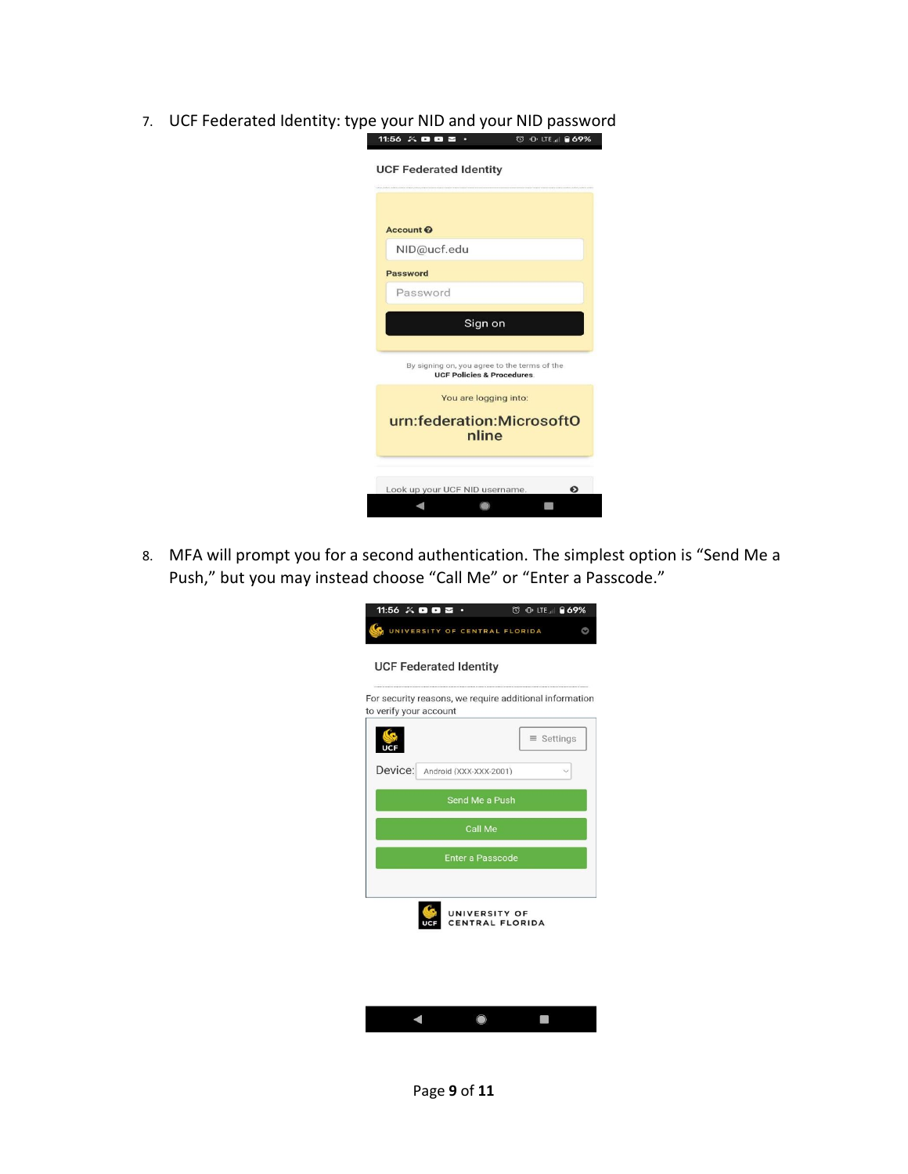| Account <sup>O</sup> |                                              |                                       |  |
|----------------------|----------------------------------------------|---------------------------------------|--|
|                      | NID@ucf.edu                                  |                                       |  |
| Password             |                                              |                                       |  |
|                      | Password                                     |                                       |  |
|                      |                                              | Sign on                               |  |
|                      | By signing on, you agree to the terms of the | <b>UCF Policies &amp; Procedures.</b> |  |
|                      |                                              | You are logging into:                 |  |
|                      | urn:federation:MicrosoftO                    | nline                                 |  |
|                      |                                              |                                       |  |

7. UCF Federated Identity: type your NID and your NID password

8. MFA will prompt you for a second authentication. The simplest option is "Send Me a Push," but you may instead choose "Call Me" or "Enter a Passcode."

|                        | 11:56 $\times$ 0 0 $\approx$ $\cdot$ | © 0 LTE <b>869%</b>                                     |  |  |  |  |
|------------------------|--------------------------------------|---------------------------------------------------------|--|--|--|--|
|                        | UNIVERSITY OF CENTRAL FLORIDA        |                                                         |  |  |  |  |
|                        |                                      |                                                         |  |  |  |  |
|                        | <b>UCF Federated Identity</b>        |                                                         |  |  |  |  |
| to verify your account |                                      | For security reasons, we require additional information |  |  |  |  |
|                        |                                      |                                                         |  |  |  |  |
|                        |                                      | $\equiv$ Settings                                       |  |  |  |  |
|                        | Device: Android (XXX-XXX-2001)       |                                                         |  |  |  |  |
|                        | Send Me a Push                       |                                                         |  |  |  |  |
|                        | Call Me                              |                                                         |  |  |  |  |
|                        | <b>Enter a Passcode</b>              |                                                         |  |  |  |  |
|                        |                                      |                                                         |  |  |  |  |
|                        | UNIVERSITY OF<br>CENTRAL FLORIDA     |                                                         |  |  |  |  |
|                        |                                      |                                                         |  |  |  |  |
|                        |                                      |                                                         |  |  |  |  |
|                        |                                      |                                                         |  |  |  |  |
|                        |                                      |                                                         |  |  |  |  |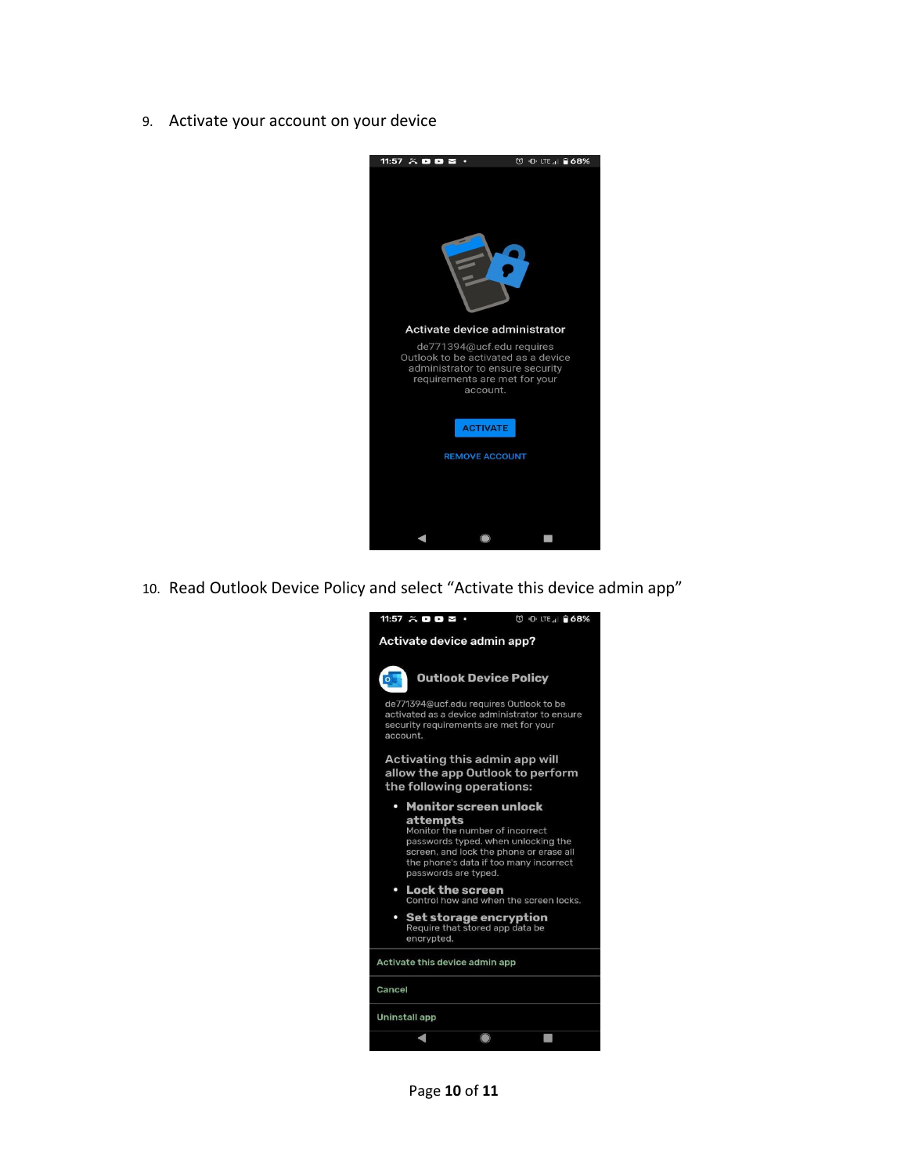9. Activate your account on your device



10. Read Outlook Device Policy and select "Activate this device admin app"